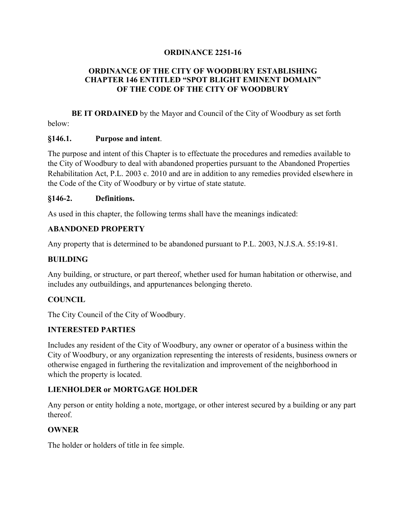### **ORDINANCE 2251-16**

### **ORDINANCE OF THE CITY OF WOODBURY ESTABLISHING CHAPTER 146 ENTITLED "SPOT BLIGHT EMINENT DOMAIN" OF THE CODE OF THE CITY OF WOODBURY**

**BE IT ORDAINED** by the Mayor and Council of the City of Woodbury as set forth below:

#### **§146.1. Purpose and intent**.

The purpose and intent of this Chapter is to effectuate the procedures and remedies available to the City of Woodbury to deal with abandoned properties pursuant to the Abandoned Properties Rehabilitation Act, P.L. 2003 c. 2010 and are in addition to any remedies provided elsewhere in the Code of the City of Woodbury or by virtue of state statute.

#### **§146-2. Definitions.**

As used in this chapter, the following terms shall have the meanings indicated:

#### **ABANDONED PROPERTY**

Any property that is determined to be abandoned pursuant to P.L. 2003, N.J.S.A. 55:19-81.

### **BUILDING**

Any building, or structure, or part thereof, whether used for human habitation or otherwise, and includes any outbuildings, and appurtenances belonging thereto.

### **COUNCIL**

The City Council of the City of Woodbury.

#### **INTERESTED PARTIES**

Includes any resident of the City of Woodbury, any owner or operator of a business within the City of Woodbury, or any organization representing the interests of residents, business owners or otherwise engaged in furthering the revitalization and improvement of the neighborhood in which the property is located.

### **LIENHOLDER or MORTGAGE HOLDER**

Any person or entity holding a note, mortgage, or other interest secured by a building or any part thereof.

#### **OWNER**

The holder or holders of title in fee simple.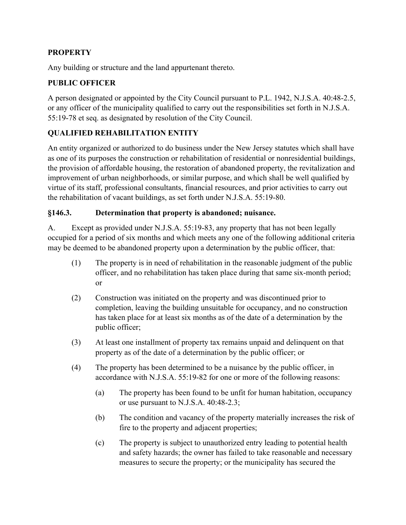## **PROPERTY**

Any building or structure and the land appurtenant thereto.

## **PUBLIC OFFICER**

A person designated or appointed by the City Council pursuant to P.L. 1942, N.J.S.A. 40:48-2.5, or any officer of the municipality qualified to carry out the responsibilities set forth in N.J.S.A. 55:19-78 et seq. as designated by resolution of the City Council.

# **QUALIFIED REHABILITATION ENTITY**

An entity organized or authorized to do business under the New Jersey statutes which shall have as one of its purposes the construction or rehabilitation of residential or nonresidential buildings, the provision of affordable housing, the restoration of abandoned property, the revitalization and improvement of urban neighborhoods, or similar purpose, and which shall be well qualified by virtue of its staff, professional consultants, financial resources, and prior activities to carry out the rehabilitation of vacant buildings, as set forth under N.J.S.A. 55:19-80.

### **§146.3. Determination that property is abandoned; nuisance.**

A. Except as provided under N.J.S.A. 55:19-83, any property that has not been legally occupied for a period of six months and which meets any one of the following additional criteria may be deemed to be abandoned property upon a determination by the public officer, that:

- (1) The property is in need of rehabilitation in the reasonable judgment of the public officer, and no rehabilitation has taken place during that same six-month period; or
- (2) Construction was initiated on the property and was discontinued prior to completion, leaving the building unsuitable for occupancy, and no construction has taken place for at least six months as of the date of a determination by the public officer;
- (3) At least one installment of property tax remains unpaid and delinquent on that property as of the date of a determination by the public officer; or
- (4) The property has been determined to be a nuisance by the public officer, in accordance with N.J.S.A. 55:19-82 for one or more of the following reasons:
	- (a) The property has been found to be unfit for human habitation, occupancy or use pursuant to N.J.S.A. 40:48-2.3;
	- (b) The condition and vacancy of the property materially increases the risk of fire to the property and adjacent properties;
	- (c) The property is subject to unauthorized entry leading to potential health and safety hazards; the owner has failed to take reasonable and necessary measures to secure the property; or the municipality has secured the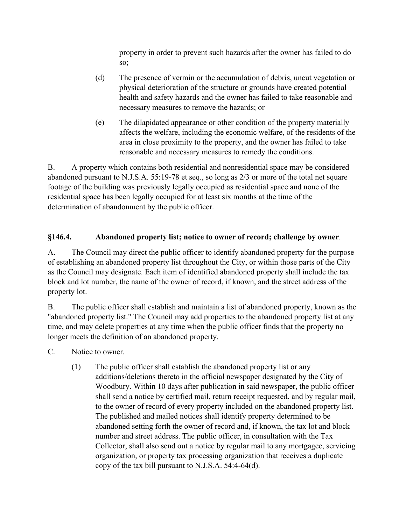property in order to prevent such hazards after the owner has failed to do so;

- (d) The presence of vermin or the accumulation of debris, uncut vegetation or physical deterioration of the structure or grounds have created potential health and safety hazards and the owner has failed to take reasonable and necessary measures to remove the hazards; or
- (e) The dilapidated appearance or other condition of the property materially affects the welfare, including the economic welfare, of the residents of the area in close proximity to the property, and the owner has failed to take reasonable and necessary measures to remedy the conditions.

B. A property which contains both residential and nonresidential space may be considered abandoned pursuant to N.J.S.A. 55:19-78 et seq., so long as 2/3 or more of the total net square footage of the building was previously legally occupied as residential space and none of the residential space has been legally occupied for at least six months at the time of the determination of abandonment by the public officer.

# **§146.4. Abandoned property list; notice to owner of record; challenge by owner**.

A. The Council may direct the public officer to identify abandoned property for the purpose of establishing an abandoned property list throughout the City, or within those parts of the City as the Council may designate. Each item of identified abandoned property shall include the tax block and lot number, the name of the owner of record, if known, and the street address of the property lot.

B. The public officer shall establish and maintain a list of abandoned property, known as the "abandoned property list." The Council may add properties to the abandoned property list at any time, and may delete properties at any time when the public officer finds that the property no longer meets the definition of an abandoned property.

- C. Notice to owner.
	- (1) The public officer shall establish the abandoned property list or any additions/deletions thereto in the official newspaper designated by the City of Woodbury. Within 10 days after publication in said newspaper, the public officer shall send a notice by certified mail, return receipt requested, and by regular mail, to the owner of record of every property included on the abandoned property list. The published and mailed notices shall identify property determined to be abandoned setting forth the owner of record and, if known, the tax lot and block number and street address. The public officer, in consultation with the Tax Collector, shall also send out a notice by regular mail to any mortgagee, servicing organization, or property tax processing organization that receives a duplicate copy of the tax bill pursuant to N.J.S.A. 54:4-64(d).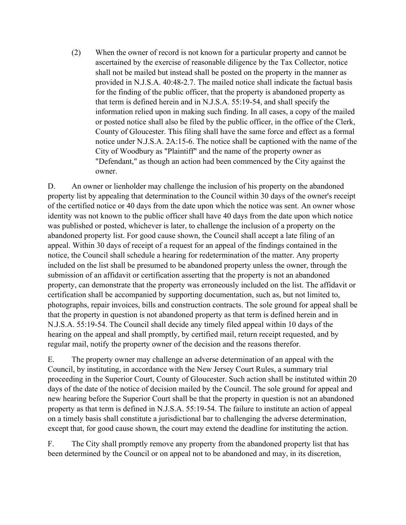(2) When the owner of record is not known for a particular property and cannot be ascertained by the exercise of reasonable diligence by the Tax Collector, notice shall not be mailed but instead shall be posted on the property in the manner as provided in N.J.S.A. 40:48-2.7. The mailed notice shall indicate the factual basis for the finding of the public officer, that the property is abandoned property as that term is defined herein and in N.J.S.A. 55:19-54, and shall specify the information relied upon in making such finding. In all cases, a copy of the mailed or posted notice shall also be filed by the public officer, in the office of the Clerk, County of Gloucester. This filing shall have the same force and effect as a formal notice under N.J.S.A. 2A:15-6. The notice shall be captioned with the name of the City of Woodbury as "Plaintiff" and the name of the property owner as "Defendant," as though an action had been commenced by the City against the owner.

D. An owner or lienholder may challenge the inclusion of his property on the abandoned property list by appealing that determination to the Council within 30 days of the owner's receipt of the certified notice or 40 days from the date upon which the notice was sent. An owner whose identity was not known to the public officer shall have 40 days from the date upon which notice was published or posted, whichever is later, to challenge the inclusion of a property on the abandoned property list. For good cause shown, the Council shall accept a late filing of an appeal. Within 30 days of receipt of a request for an appeal of the findings contained in the notice, the Council shall schedule a hearing for redetermination of the matter. Any property included on the list shall be presumed to be abandoned property unless the owner, through the submission of an affidavit or certification asserting that the property is not an abandoned property, can demonstrate that the property was erroneously included on the list. The affidavit or certification shall be accompanied by supporting documentation, such as, but not limited to, photographs, repair invoices, bills and construction contracts. The sole ground for appeal shall be that the property in question is not abandoned property as that term is defined herein and in N.J.S.A. 55:19-54. The Council shall decide any timely filed appeal within 10 days of the hearing on the appeal and shall promptly, by certified mail, return receipt requested, and by regular mail, notify the property owner of the decision and the reasons therefor.

E. The property owner may challenge an adverse determination of an appeal with the Council, by instituting, in accordance with the New Jersey Court Rules, a summary trial proceeding in the Superior Court, County of Gloucester. Such action shall be instituted within 20 days of the date of the notice of decision mailed by the Council. The sole ground for appeal and new hearing before the Superior Court shall be that the property in question is not an abandoned property as that term is defined in N.J.S.A. 55:19-54. The failure to institute an action of appeal on a timely basis shall constitute a jurisdictional bar to challenging the adverse determination, except that, for good cause shown, the court may extend the deadline for instituting the action.

F. The City shall promptly remove any property from the abandoned property list that has been determined by the Council or on appeal not to be abandoned and may, in its discretion,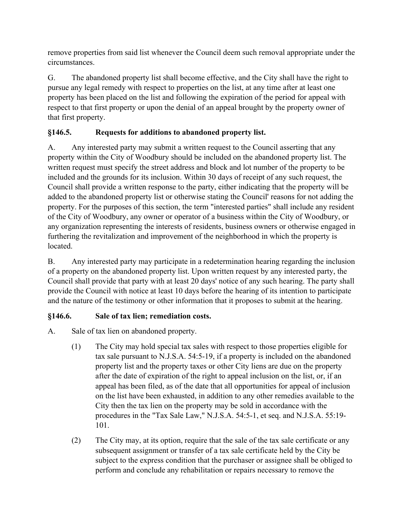remove properties from said list whenever the Council deem such removal appropriate under the circumstances.

G. The abandoned property list shall become effective, and the City shall have the right to pursue any legal remedy with respect to properties on the list, at any time after at least one property has been placed on the list and following the expiration of the period for appeal with respect to that first property or upon the denial of an appeal brought by the property owner of that first property.

# **§146.5. Requests for additions to abandoned property list.**

A. Any interested party may submit a written request to the Council asserting that any property within the City of Woodbury should be included on the abandoned property list. The written request must specify the street address and block and lot number of the property to be included and the grounds for its inclusion. Within 30 days of receipt of any such request, the Council shall provide a written response to the party, either indicating that the property will be added to the abandoned property list or otherwise stating the Council' reasons for not adding the property. For the purposes of this section, the term "interested parties" shall include any resident of the City of Woodbury, any owner or operator of a business within the City of Woodbury, or any organization representing the interests of residents, business owners or otherwise engaged in furthering the revitalization and improvement of the neighborhood in which the property is located.

B. Any interested party may participate in a redetermination hearing regarding the inclusion of a property on the abandoned property list. Upon written request by any interested party, the Council shall provide that party with at least 20 days' notice of any such hearing. The party shall provide the Council with notice at least 10 days before the hearing of its intention to participate and the nature of the testimony or other information that it proposes to submit at the hearing.

# **§146.6. Sale of tax lien; remediation costs.**

- A. Sale of tax lien on abandoned property.
	- (1) The City may hold special tax sales with respect to those properties eligible for tax sale pursuant to N.J.S.A. 54:5-19, if a property is included on the abandoned property list and the property taxes or other City liens are due on the property after the date of expiration of the right to appeal inclusion on the list, or, if an appeal has been filed, as of the date that all opportunities for appeal of inclusion on the list have been exhausted, in addition to any other remedies available to the City then the tax lien on the property may be sold in accordance with the procedures in the "Tax Sale Law," N.J.S.A. 54:5-1, et seq. and N.J.S.A. 55:19- 101.
	- (2) The City may, at its option, require that the sale of the tax sale certificate or any subsequent assignment or transfer of a tax sale certificate held by the City be subject to the express condition that the purchaser or assignee shall be obliged to perform and conclude any rehabilitation or repairs necessary to remove the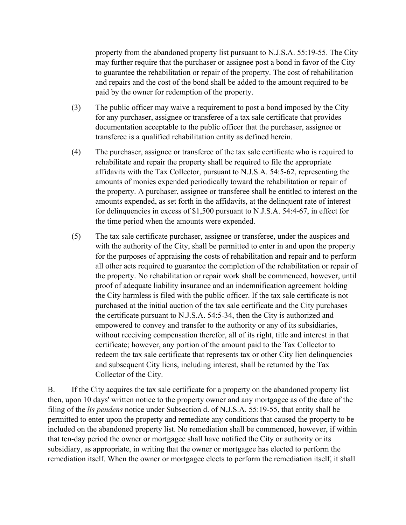property from the abandoned property list pursuant to N.J.S.A. 55:19-55. The City may further require that the purchaser or assignee post a bond in favor of the City to guarantee the rehabilitation or repair of the property. The cost of rehabilitation and repairs and the cost of the bond shall be added to the amount required to be paid by the owner for redemption of the property.

- (3) The public officer may waive a requirement to post a bond imposed by the City for any purchaser, assignee or transferee of a tax sale certificate that provides documentation acceptable to the public officer that the purchaser, assignee or transferee is a qualified rehabilitation entity as defined herein.
- (4) The purchaser, assignee or transferee of the tax sale certificate who is required to rehabilitate and repair the property shall be required to file the appropriate affidavits with the Tax Collector, pursuant to N.J.S.A. 54:5-62, representing the amounts of monies expended periodically toward the rehabilitation or repair of the property. A purchaser, assignee or transferee shall be entitled to interest on the amounts expended, as set forth in the affidavits, at the delinquent rate of interest for delinquencies in excess of \$1,500 pursuant to N.J.S.A. 54:4-67, in effect for the time period when the amounts were expended.
- (5) The tax sale certificate purchaser, assignee or transferee, under the auspices and with the authority of the City, shall be permitted to enter in and upon the property for the purposes of appraising the costs of rehabilitation and repair and to perform all other acts required to guarantee the completion of the rehabilitation or repair of the property. No rehabilitation or repair work shall be commenced, however, until proof of adequate liability insurance and an indemnification agreement holding the City harmless is filed with the public officer. If the tax sale certificate is not purchased at the initial auction of the tax sale certificate and the City purchases the certificate pursuant to N.J.S.A. 54:5-34, then the City is authorized and empowered to convey and transfer to the authority or any of its subsidiaries, without receiving compensation therefor, all of its right, title and interest in that certificate; however, any portion of the amount paid to the Tax Collector to redeem the tax sale certificate that represents tax or other City lien delinquencies and subsequent City liens, including interest, shall be returned by the Tax Collector of the City.

B. If the City acquires the tax sale certificate for a property on the abandoned property list then, upon 10 days' written notice to the property owner and any mortgagee as of the date of the filing of the *lis pendens* notice under Subsection d. of N.J.S.A. 55:19-55, that entity shall be permitted to enter upon the property and remediate any conditions that caused the property to be included on the abandoned property list. No remediation shall be commenced, however, if within that ten-day period the owner or mortgagee shall have notified the City or authority or its subsidiary, as appropriate, in writing that the owner or mortgagee has elected to perform the remediation itself. When the owner or mortgagee elects to perform the remediation itself, it shall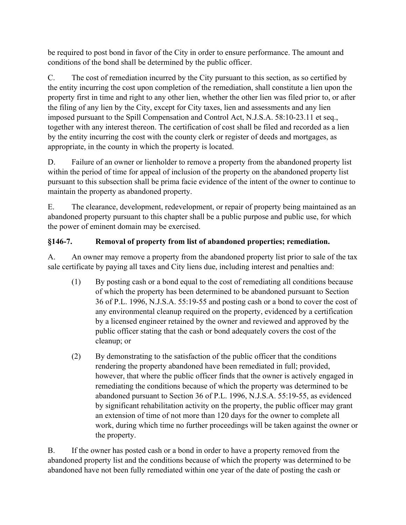be required to post bond in favor of the City in order to ensure performance. The amount and conditions of the bond shall be determined by the public officer.

C. The cost of remediation incurred by the City pursuant to this section, as so certified by the entity incurring the cost upon completion of the remediation, shall constitute a lien upon the property first in time and right to any other lien, whether the other lien was filed prior to, or after the filing of any lien by the City, except for City taxes, lien and assessments and any lien imposed pursuant to the Spill Compensation and Control Act, N.J.S.A. 58:10-23.11 et seq., together with any interest thereon. The certification of cost shall be filed and recorded as a lien by the entity incurring the cost with the county clerk or register of deeds and mortgages, as appropriate, in the county in which the property is located.

D. Failure of an owner or lienholder to remove a property from the abandoned property list within the period of time for appeal of inclusion of the property on the abandoned property list pursuant to this subsection shall be prima facie evidence of the intent of the owner to continue to maintain the property as abandoned property.

E. The clearance, development, redevelopment, or repair of property being maintained as an abandoned property pursuant to this chapter shall be a public purpose and public use, for which the power of eminent domain may be exercised.

# **§146-7. Removal of property from list of abandoned properties; remediation.**

A. An owner may remove a property from the abandoned property list prior to sale of the tax sale certificate by paying all taxes and City liens due, including interest and penalties and:

- (1) By posting cash or a bond equal to the cost of remediating all conditions because of which the property has been determined to be abandoned pursuant to Section 36 of P.L. 1996, N.J.S.A. 55:19-55 and posting cash or a bond to cover the cost of any environmental cleanup required on the property, evidenced by a certification by a licensed engineer retained by the owner and reviewed and approved by the public officer stating that the cash or bond adequately covers the cost of the cleanup; or
- (2) By demonstrating to the satisfaction of the public officer that the conditions rendering the property abandoned have been remediated in full; provided, however, that where the public officer finds that the owner is actively engaged in remediating the conditions because of which the property was determined to be abandoned pursuant to Section 36 of P.L. 1996, N.J.S.A. 55:19-55, as evidenced by significant rehabilitation activity on the property, the public officer may grant an extension of time of not more than 120 days for the owner to complete all work, during which time no further proceedings will be taken against the owner or the property.

B. If the owner has posted cash or a bond in order to have a property removed from the abandoned property list and the conditions because of which the property was determined to be abandoned have not been fully remediated within one year of the date of posting the cash or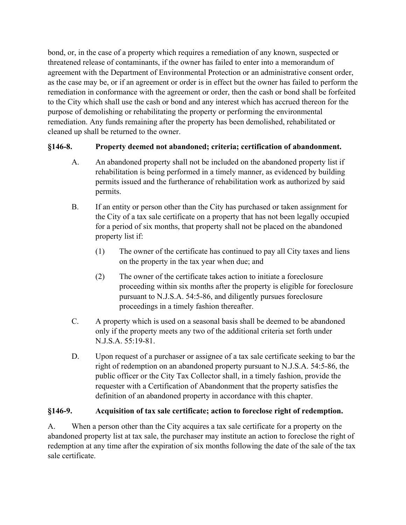bond, or, in the case of a property which requires a remediation of any known, suspected or threatened release of contaminants, if the owner has failed to enter into a memorandum of agreement with the Department of Environmental Protection or an administrative consent order, as the case may be, or if an agreement or order is in effect but the owner has failed to perform the remediation in conformance with the agreement or order, then the cash or bond shall be forfeited to the City which shall use the cash or bond and any interest which has accrued thereon for the purpose of demolishing or rehabilitating the property or performing the environmental remediation. Any funds remaining after the property has been demolished, rehabilitated or cleaned up shall be returned to the owner.

# **§146-8. Property deemed not abandoned; criteria; certification of abandonment.**

- A. An abandoned property shall not be included on the abandoned property list if rehabilitation is being performed in a timely manner, as evidenced by building permits issued and the furtherance of rehabilitation work as authorized by said permits.
- B. If an entity or person other than the City has purchased or taken assignment for the City of a tax sale certificate on a property that has not been legally occupied for a period of six months, that property shall not be placed on the abandoned property list if:
	- (1) The owner of the certificate has continued to pay all City taxes and liens on the property in the tax year when due; and
	- (2) The owner of the certificate takes action to initiate a foreclosure proceeding within six months after the property is eligible for foreclosure pursuant to N.J.S.A. 54:5-86, and diligently pursues foreclosure proceedings in a timely fashion thereafter.
- C. A property which is used on a seasonal basis shall be deemed to be abandoned only if the property meets any two of the additional criteria set forth under N.J.S.A. 55:19-81.
- D. Upon request of a purchaser or assignee of a tax sale certificate seeking to bar the right of redemption on an abandoned property pursuant to N.J.S.A. 54:5-86, the public officer or the City Tax Collector shall, in a timely fashion, provide the requester with a Certification of Abandonment that the property satisfies the definition of an abandoned property in accordance with this chapter.

## **§146-9. Acquisition of tax sale certificate; action to foreclose right of redemption.**

A. When a person other than the City acquires a tax sale certificate for a property on the abandoned property list at tax sale, the purchaser may institute an action to foreclose the right of redemption at any time after the expiration of six months following the date of the sale of the tax sale certificate.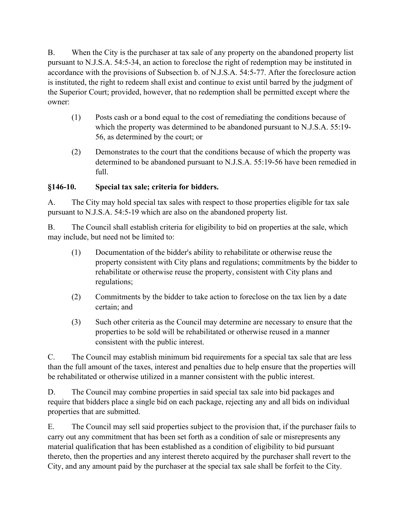B. When the City is the purchaser at tax sale of any property on the abandoned property list pursuant to N.J.S.A. 54:5-34, an action to foreclose the right of redemption may be instituted in accordance with the provisions of Subsection b. of N.J.S.A. 54:5-77. After the foreclosure action is instituted, the right to redeem shall exist and continue to exist until barred by the judgment of the Superior Court; provided, however, that no redemption shall be permitted except where the owner:

- (1) Posts cash or a bond equal to the cost of remediating the conditions because of which the property was determined to be abandoned pursuant to N.J.S.A. 55:19- 56, as determined by the court; or
- (2) Demonstrates to the court that the conditions because of which the property was determined to be abandoned pursuant to N.J.S.A. 55:19-56 have been remedied in full.

## **§146-10. Special tax sale; criteria for bidders.**

A. The City may hold special tax sales with respect to those properties eligible for tax sale pursuant to N.J.S.A. 54:5-19 which are also on the abandoned property list.

B. The Council shall establish criteria for eligibility to bid on properties at the sale, which may include, but need not be limited to:

- (1) Documentation of the bidder's ability to rehabilitate or otherwise reuse the property consistent with City plans and regulations; commitments by the bidder to rehabilitate or otherwise reuse the property, consistent with City plans and regulations;
- (2) Commitments by the bidder to take action to foreclose on the tax lien by a date certain; and
- (3) Such other criteria as the Council may determine are necessary to ensure that the properties to be sold will be rehabilitated or otherwise reused in a manner consistent with the public interest.

C. The Council may establish minimum bid requirements for a special tax sale that are less than the full amount of the taxes, interest and penalties due to help ensure that the properties will be rehabilitated or otherwise utilized in a manner consistent with the public interest.

D. The Council may combine properties in said special tax sale into bid packages and require that bidders place a single bid on each package, rejecting any and all bids on individual properties that are submitted.

E. The Council may sell said properties subject to the provision that, if the purchaser fails to carry out any commitment that has been set forth as a condition of sale or misrepresents any material qualification that has been established as a condition of eligibility to bid pursuant thereto, then the properties and any interest thereto acquired by the purchaser shall revert to the City, and any amount paid by the purchaser at the special tax sale shall be forfeit to the City.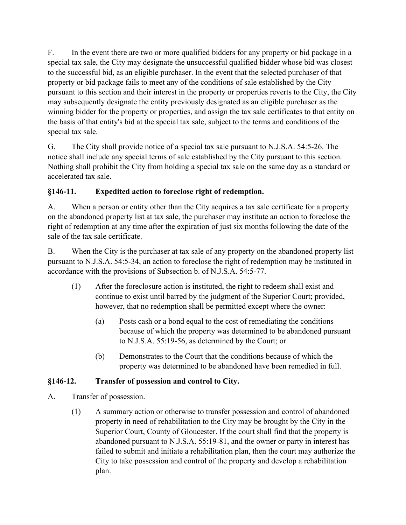F. In the event there are two or more qualified bidders for any property or bid package in a special tax sale, the City may designate the unsuccessful qualified bidder whose bid was closest to the successful bid, as an eligible purchaser. In the event that the selected purchaser of that property or bid package fails to meet any of the conditions of sale established by the City pursuant to this section and their interest in the property or properties reverts to the City, the City may subsequently designate the entity previously designated as an eligible purchaser as the winning bidder for the property or properties, and assign the tax sale certificates to that entity on the basis of that entity's bid at the special tax sale, subject to the terms and conditions of the special tax sale.

G. The City shall provide notice of a special tax sale pursuant to N.J.S.A. 54:5-26. The notice shall include any special terms of sale established by the City pursuant to this section. Nothing shall prohibit the City from holding a special tax sale on the same day as a standard or accelerated tax sale.

# **§146-11. Expedited action to foreclose right of redemption.**

A. When a person or entity other than the City acquires a tax sale certificate for a property on the abandoned property list at tax sale, the purchaser may institute an action to foreclose the right of redemption at any time after the expiration of just six months following the date of the sale of the tax sale certificate.

B. When the City is the purchaser at tax sale of any property on the abandoned property list pursuant to N.J.S.A. 54:5-34, an action to foreclose the right of redemption may be instituted in accordance with the provisions of Subsection b. of N.J.S.A. 54:5-77.

- (1) After the foreclosure action is instituted, the right to redeem shall exist and continue to exist until barred by the judgment of the Superior Court; provided, however, that no redemption shall be permitted except where the owner:
	- (a) Posts cash or a bond equal to the cost of remediating the conditions because of which the property was determined to be abandoned pursuant to N.J.S.A. 55:19-56, as determined by the Court; or
	- (b) Demonstrates to the Court that the conditions because of which the property was determined to be abandoned have been remedied in full.

## **§146-12. Transfer of possession and control to City.**

- A. Transfer of possession.
	- (1) A summary action or otherwise to transfer possession and control of abandoned property in need of rehabilitation to the City may be brought by the City in the Superior Court, County of Gloucester. If the court shall find that the property is abandoned pursuant to N.J.S.A. 55:19-81, and the owner or party in interest has failed to submit and initiate a rehabilitation plan, then the court may authorize the City to take possession and control of the property and develop a rehabilitation plan.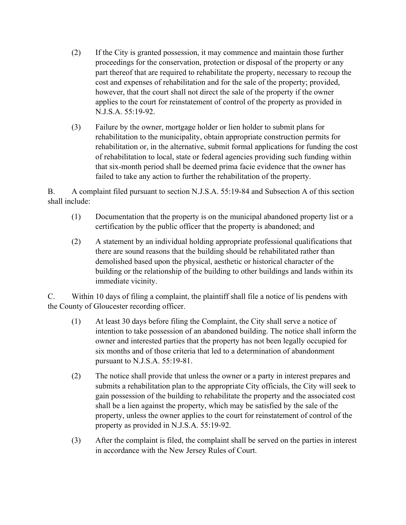- (2) If the City is granted possession, it may commence and maintain those further proceedings for the conservation, protection or disposal of the property or any part thereof that are required to rehabilitate the property, necessary to recoup the cost and expenses of rehabilitation and for the sale of the property; provided, however, that the court shall not direct the sale of the property if the owner applies to the court for reinstatement of control of the property as provided in N.J.S.A. 55:19-92.
- (3) Failure by the owner, mortgage holder or lien holder to submit plans for rehabilitation to the municipality, obtain appropriate construction permits for rehabilitation or, in the alternative, submit formal applications for funding the cost of rehabilitation to local, state or federal agencies providing such funding within that six-month period shall be deemed prima facie evidence that the owner has failed to take any action to further the rehabilitation of the property.

B. A complaint filed pursuant to section N.J.S.A. 55:19-84 and Subsection A of this section shall include:

- (1) Documentation that the property is on the municipal abandoned property list or a certification by the public officer that the property is abandoned; and
- (2) A statement by an individual holding appropriate professional qualifications that there are sound reasons that the building should be rehabilitated rather than demolished based upon the physical, aesthetic or historical character of the building or the relationship of the building to other buildings and lands within its immediate vicinity.

C. Within 10 days of filing a complaint, the plaintiff shall file a notice of lis pendens with the County of Gloucester recording officer.

- (1) At least 30 days before filing the Complaint, the City shall serve a notice of intention to take possession of an abandoned building. The notice shall inform the owner and interested parties that the property has not been legally occupied for six months and of those criteria that led to a determination of abandonment pursuant to N.J.S.A. 55:19-81.
- (2) The notice shall provide that unless the owner or a party in interest prepares and submits a rehabilitation plan to the appropriate City officials, the City will seek to gain possession of the building to rehabilitate the property and the associated cost shall be a lien against the property, which may be satisfied by the sale of the property, unless the owner applies to the court for reinstatement of control of the property as provided in N.J.S.A. 55:19-92.
- (3) After the complaint is filed, the complaint shall be served on the parties in interest in accordance with the New Jersey Rules of Court.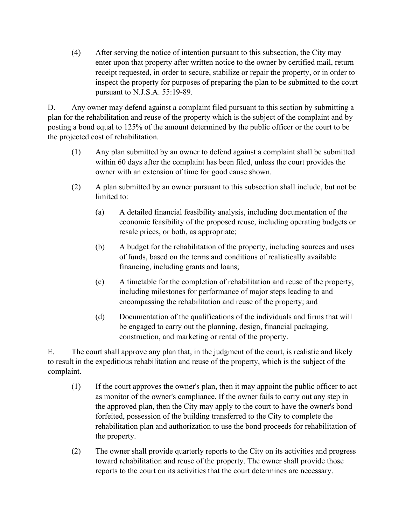(4) After serving the notice of intention pursuant to this subsection, the City may enter upon that property after written notice to the owner by certified mail, return receipt requested, in order to secure, stabilize or repair the property, or in order to inspect the property for purposes of preparing the plan to be submitted to the court pursuant to N.J.S.A. 55:19-89.

D. Any owner may defend against a complaint filed pursuant to this section by submitting a plan for the rehabilitation and reuse of the property which is the subject of the complaint and by posting a bond equal to 125% of the amount determined by the public officer or the court to be the projected cost of rehabilitation.

- (1) Any plan submitted by an owner to defend against a complaint shall be submitted within 60 days after the complaint has been filed, unless the court provides the owner with an extension of time for good cause shown.
- (2) A plan submitted by an owner pursuant to this subsection shall include, but not be limited to:
	- (a) A detailed financial feasibility analysis, including documentation of the economic feasibility of the proposed reuse, including operating budgets or resale prices, or both, as appropriate;
	- (b) A budget for the rehabilitation of the property, including sources and uses of funds, based on the terms and conditions of realistically available financing, including grants and loans;
	- (c) A timetable for the completion of rehabilitation and reuse of the property, including milestones for performance of major steps leading to and encompassing the rehabilitation and reuse of the property; and
	- (d) Documentation of the qualifications of the individuals and firms that will be engaged to carry out the planning, design, financial packaging, construction, and marketing or rental of the property.

E. The court shall approve any plan that, in the judgment of the court, is realistic and likely to result in the expeditious rehabilitation and reuse of the property, which is the subject of the complaint.

- (1) If the court approves the owner's plan, then it may appoint the public officer to act as monitor of the owner's compliance. If the owner fails to carry out any step in the approved plan, then the City may apply to the court to have the owner's bond forfeited, possession of the building transferred to the City to complete the rehabilitation plan and authorization to use the bond proceeds for rehabilitation of the property.
- (2) The owner shall provide quarterly reports to the City on its activities and progress toward rehabilitation and reuse of the property. The owner shall provide those reports to the court on its activities that the court determines are necessary.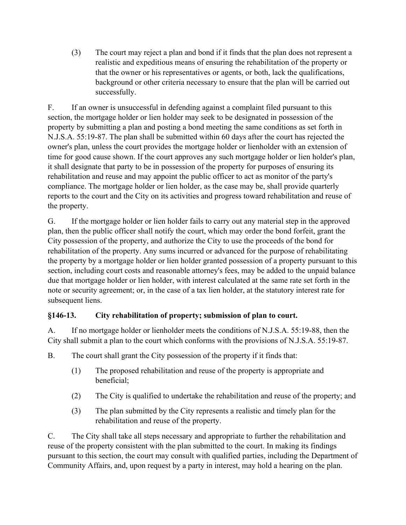(3) The court may reject a plan and bond if it finds that the plan does not represent a realistic and expeditious means of ensuring the rehabilitation of the property or that the owner or his representatives or agents, or both, lack the qualifications, background or other criteria necessary to ensure that the plan will be carried out successfully.

F. If an owner is unsuccessful in defending against a complaint filed pursuant to this section, the mortgage holder or lien holder may seek to be designated in possession of the property by submitting a plan and posting a bond meeting the same conditions as set forth in N.J.S.A. 55:19-87. The plan shall be submitted within 60 days after the court has rejected the owner's plan, unless the court provides the mortgage holder or lienholder with an extension of time for good cause shown. If the court approves any such mortgage holder or lien holder's plan, it shall designate that party to be in possession of the property for purposes of ensuring its rehabilitation and reuse and may appoint the public officer to act as monitor of the party's compliance. The mortgage holder or lien holder, as the case may be, shall provide quarterly reports to the court and the City on its activities and progress toward rehabilitation and reuse of the property.

G. If the mortgage holder or lien holder fails to carry out any material step in the approved plan, then the public officer shall notify the court, which may order the bond forfeit, grant the City possession of the property, and authorize the City to use the proceeds of the bond for rehabilitation of the property. Any sums incurred or advanced for the purpose of rehabilitating the property by a mortgage holder or lien holder granted possession of a property pursuant to this section, including court costs and reasonable attorney's fees, may be added to the unpaid balance due that mortgage holder or lien holder, with interest calculated at the same rate set forth in the note or security agreement; or, in the case of a tax lien holder, at the statutory interest rate for subsequent liens.

## **§146-13. City rehabilitation of property; submission of plan to court.**

A. If no mortgage holder or lienholder meets the conditions of N.J.S.A. 55:19-88, then the City shall submit a plan to the court which conforms with the provisions of N.J.S.A. 55:19-87.

B. The court shall grant the City possession of the property if it finds that:

- (1) The proposed rehabilitation and reuse of the property is appropriate and beneficial;
- (2) The City is qualified to undertake the rehabilitation and reuse of the property; and
- (3) The plan submitted by the City represents a realistic and timely plan for the rehabilitation and reuse of the property.

C. The City shall take all steps necessary and appropriate to further the rehabilitation and reuse of the property consistent with the plan submitted to the court. In making its findings pursuant to this section, the court may consult with qualified parties, including the Department of Community Affairs, and, upon request by a party in interest, may hold a hearing on the plan.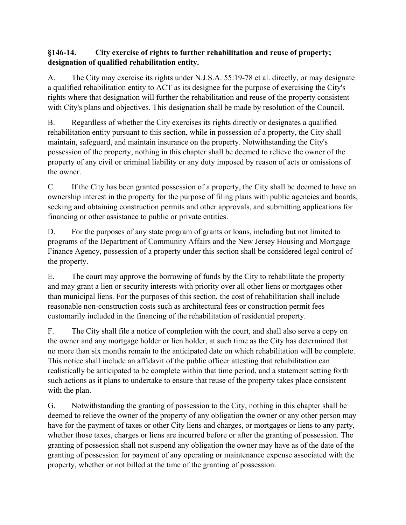## **§146-14. City exercise of rights to further rehabilitation and reuse of property; designation of qualified rehabilitation entity.**

A. The City may exercise its rights under N.J.S.A. 55:19-78 et al. directly, or may designate a qualified rehabilitation entity to ACT as its designee for the purpose of exercising the City's rights where that designation will further the rehabilitation and reuse of the property consistent with City's plans and objectives. This designation shall be made by resolution of the Council.

B. Regardless of whether the City exercises its rights directly or designates a qualified rehabilitation entity pursuant to this section, while in possession of a property, the City shall maintain, safeguard, and maintain insurance on the property. Notwithstanding the City's possession of the property, nothing in this chapter shall be deemed to relieve the owner of the property of any civil or criminal liability or any duty imposed by reason of acts or omissions of the owner.

C. If the City has been granted possession of a property, the City shall be deemed to have an ownership interest in the property for the purpose of filing plans with public agencies and boards, seeking and obtaining construction permits and other approvals, and submitting applications for financing or other assistance to public or private entities.

D. For the purposes of any state program of grants or loans, including but not limited to programs of the Department of Community Affairs and the New Jersey Housing and Mortgage Finance Agency, possession of a property under this section shall be considered legal control of the property.

E. The court may approve the borrowing of funds by the City to rehabilitate the property and may grant a lien or security interests with priority over all other liens or mortgages other than municipal liens. For the purposes of this section, the cost of rehabilitation shall include reasonable non-construction costs such as architectural fees or construction permit fees customarily included in the financing of the rehabilitation of residential property.

F. The City shall file a notice of completion with the court, and shall also serve a copy on the owner and any mortgage holder or lien holder, at such time as the City has determined that no more than six months remain to the anticipated date on which rehabilitation will be complete. This notice shall include an affidavit of the public officer attesting that rehabilitation can realistically be anticipated to be complete within that time period, and a statement setting forth such actions as it plans to undertake to ensure that reuse of the property takes place consistent with the plan.

G. Notwithstanding the granting of possession to the City, nothing in this chapter shall be deemed to relieve the owner of the property of any obligation the owner or any other person may have for the payment of taxes or other City liens and charges, or mortgages or liens to any party, whether those taxes, charges or liens are incurred before or after the granting of possession. The granting of possession shall not suspend any obligation the owner may have as of the date of the granting of possession for payment of any operating or maintenance expense associated with the property, whether or not billed at the time of the granting of possession.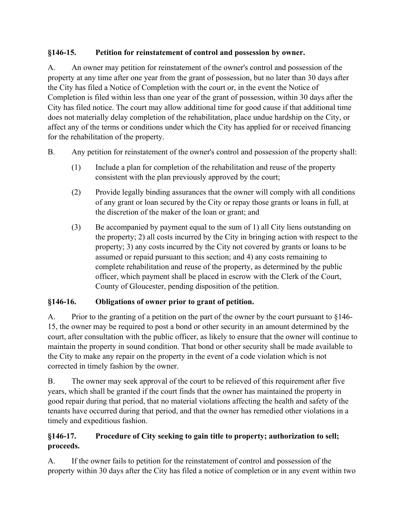# **§146-15. Petition for reinstatement of control and possession by owner.**

A. An owner may petition for reinstatement of the owner's control and possession of the property at any time after one year from the grant of possession, but no later than 30 days after the City has filed a Notice of Completion with the court or, in the event the Notice of Completion is filed within less than one year of the grant of possession, within 30 days after the City has filed notice. The court may allow additional time for good cause if that additional time does not materially delay completion of the rehabilitation, place undue hardship on the City, or affect any of the terms or conditions under which the City has applied for or received financing for the rehabilitation of the property.

- B. Any petition for reinstatement of the owner's control and possession of the property shall:
	- (1) Include a plan for completion of the rehabilitation and reuse of the property consistent with the plan previously approved by the court;
	- (2) Provide legally binding assurances that the owner will comply with all conditions of any grant or loan secured by the City or repay those grants or loans in full, at the discretion of the maker of the loan or grant; and
	- (3) Be accompanied by payment equal to the sum of 1) all City liens outstanding on the property; 2) all costs incurred by the City in bringing action with respect to the property; 3) any costs incurred by the City not covered by grants or loans to be assumed or repaid pursuant to this section; and 4) any costs remaining to complete rehabilitation and reuse of the property, as determined by the public officer, which payment shall be placed in escrow with the Clerk of the Court, County of Gloucester, pending disposition of the petition.

# **§146-16. Obligations of owner prior to grant of petition.**

A. Prior to the granting of a petition on the part of the owner by the court pursuant to §146- 15, the owner may be required to post a bond or other security in an amount determined by the court, after consultation with the public officer, as likely to ensure that the owner will continue to maintain the property in sound condition. That bond or other security shall be made available to the City to make any repair on the property in the event of a code violation which is not corrected in timely fashion by the owner.

B. The owner may seek approval of the court to be relieved of this requirement after five years, which shall be granted if the court finds that the owner has maintained the property in good repair during that period, that no material violations affecting the health and safety of the tenants have occurred during that period, and that the owner has remedied other violations in a timely and expeditious fashion.

# **§146-17. Procedure of City seeking to gain title to property; authorization to sell; proceeds.**

A. If the owner fails to petition for the reinstatement of control and possession of the property within 30 days after the City has filed a notice of completion or in any event within two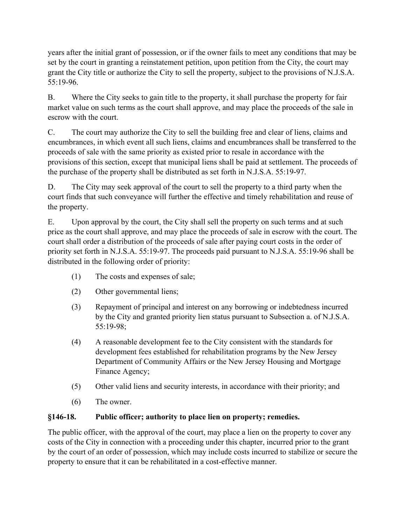years after the initial grant of possession, or if the owner fails to meet any conditions that may be set by the court in granting a reinstatement petition, upon petition from the City, the court may grant the City title or authorize the City to sell the property, subject to the provisions of N.J.S.A. 55:19-96.

B. Where the City seeks to gain title to the property, it shall purchase the property for fair market value on such terms as the court shall approve, and may place the proceeds of the sale in escrow with the court.

C. The court may authorize the City to sell the building free and clear of liens, claims and encumbrances, in which event all such liens, claims and encumbrances shall be transferred to the proceeds of sale with the same priority as existed prior to resale in accordance with the provisions of this section, except that municipal liens shall be paid at settlement. The proceeds of the purchase of the property shall be distributed as set forth in N.J.S.A. 55:19-97.

D. The City may seek approval of the court to sell the property to a third party when the court finds that such conveyance will further the effective and timely rehabilitation and reuse of the property.

E. Upon approval by the court, the City shall sell the property on such terms and at such price as the court shall approve, and may place the proceeds of sale in escrow with the court. The court shall order a distribution of the proceeds of sale after paying court costs in the order of priority set forth in N.J.S.A. 55:19-97. The proceeds paid pursuant to N.J.S.A. 55:19-96 shall be distributed in the following order of priority:

- (1) The costs and expenses of sale;
- (2) Other governmental liens;
- (3) Repayment of principal and interest on any borrowing or indebtedness incurred by the City and granted priority lien status pursuant to Subsection a. of N.J.S.A. 55:19-98;
- (4) A reasonable development fee to the City consistent with the standards for development fees established for rehabilitation programs by the New Jersey Department of Community Affairs or the New Jersey Housing and Mortgage Finance Agency;
- (5) Other valid liens and security interests, in accordance with their priority; and
- (6) The owner.

## **§146-18. Public officer; authority to place lien on property; remedies.**

The public officer, with the approval of the court, may place a lien on the property to cover any costs of the City in connection with a proceeding under this chapter, incurred prior to the grant by the court of an order of possession, which may include costs incurred to stabilize or secure the property to ensure that it can be rehabilitated in a cost-effective manner.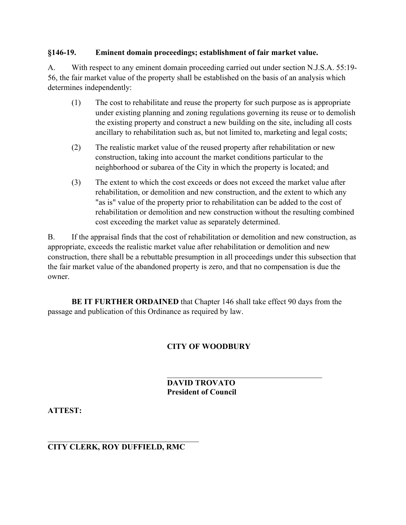#### **§146-19. Eminent domain proceedings; establishment of fair market value.**

A. With respect to any eminent domain proceeding carried out under section N.J.S.A. 55:19- 56, the fair market value of the property shall be established on the basis of an analysis which determines independently:

- (1) The cost to rehabilitate and reuse the property for such purpose as is appropriate under existing planning and zoning regulations governing its reuse or to demolish the existing property and construct a new building on the site, including all costs ancillary to rehabilitation such as, but not limited to, marketing and legal costs;
- (2) The realistic market value of the reused property after rehabilitation or new construction, taking into account the market conditions particular to the neighborhood or subarea of the City in which the property is located; and
- (3) The extent to which the cost exceeds or does not exceed the market value after rehabilitation, or demolition and new construction, and the extent to which any "as is" value of the property prior to rehabilitation can be added to the cost of rehabilitation or demolition and new construction without the resulting combined cost exceeding the market value as separately determined.

B. If the appraisal finds that the cost of rehabilitation or demolition and new construction, as appropriate, exceeds the realistic market value after rehabilitation or demolition and new construction, there shall be a rebuttable presumption in all proceedings under this subsection that the fair market value of the abandoned property is zero, and that no compensation is due the owner.

**BE IT FURTHER ORDAINED** that Chapter 146 shall take effect 90 days from the passage and publication of this Ordinance as required by law.

### **CITY OF WOODBURY**

#### $\mathcal{L}_\text{max}$  and  $\mathcal{L}_\text{max}$  and  $\mathcal{L}_\text{max}$  and  $\mathcal{L}_\text{max}$ **DAVID TROVATO President of Council**

**ATTEST:**

#### $\mathcal{L}_\text{max}$  and  $\mathcal{L}_\text{max}$  and  $\mathcal{L}_\text{max}$  and  $\mathcal{L}_\text{max}$ **CITY CLERK, ROY DUFFIELD, RMC**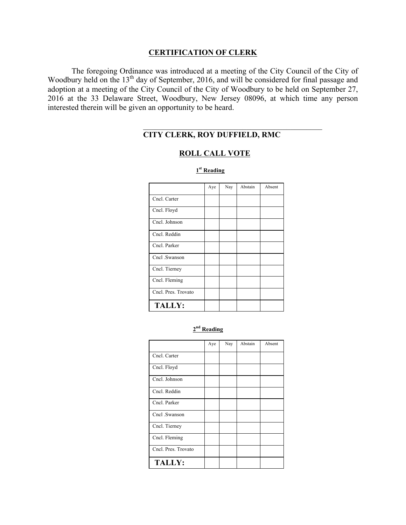### **CERTIFICATION OF CLERK**

The foregoing Ordinance was introduced at a meeting of the City Council of the City of Woodbury held on the  $13<sup>th</sup>$  day of September, 2016, and will be considered for final passage and adoption at a meeting of the City Council of the City of Woodbury to be held on September 27, 2016 at the 33 Delaware Street, Woodbury, New Jersey 08096, at which time any person interested therein will be given an opportunity to be heard.

# **CITY CLERK, ROY DUFFIELD, RMC**

### **ROLL CALL VOTE**

 $\mathcal{L}_\text{max}$  and  $\mathcal{L}_\text{max}$  and  $\mathcal{L}_\text{max}$  and  $\mathcal{L}_\text{max}$  and  $\mathcal{L}_\text{max}$ 

|                     | Aye | Nay | Abstain | Absent |
|---------------------|-----|-----|---------|--------|
| Cncl. Carter        |     |     |         |        |
| Cncl. Floyd         |     |     |         |        |
| Cncl. Johnson       |     |     |         |        |
| Cncl. Reddin        |     |     |         |        |
| Cncl. Parker        |     |     |         |        |
| Cncl .Swanson       |     |     |         |        |
| Cncl. Tierney       |     |     |         |        |
| Cncl. Fleming       |     |     |         |        |
| Cncl. Pres. Trovato |     |     |         |        |
| <b>TALLY:</b>       |     |     |         |        |

 **1st Reading**

#### **2nd Reading**

|                     | Aye | Nay | Abstain | Absent |
|---------------------|-----|-----|---------|--------|
| Cncl. Carter        |     |     |         |        |
| Cncl. Floyd         |     |     |         |        |
| Cncl. Johnson       |     |     |         |        |
| Cncl. Reddin        |     |     |         |        |
| Cncl. Parker        |     |     |         |        |
| Cncl .Swanson       |     |     |         |        |
| Cncl. Tierney       |     |     |         |        |
| Cncl. Fleming       |     |     |         |        |
| Cncl. Pres. Trovato |     |     |         |        |
| <b>TALLY:</b>       |     |     |         |        |